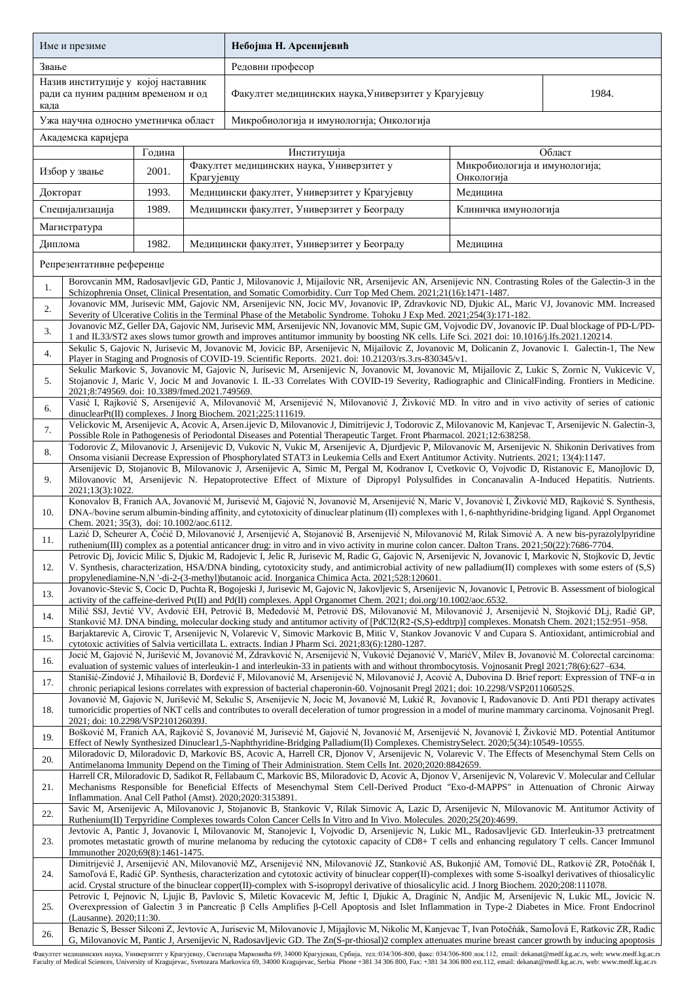| Име и презиме                                                                     |                                                                                                                                                                                                                                                                                                                                                                                                                                                                      |        |            | Небојша Н. Арсенијевић                                                                                                                                                                                                                                                                                    |                                             |        |  |  |
|-----------------------------------------------------------------------------------|----------------------------------------------------------------------------------------------------------------------------------------------------------------------------------------------------------------------------------------------------------------------------------------------------------------------------------------------------------------------------------------------------------------------------------------------------------------------|--------|------------|-----------------------------------------------------------------------------------------------------------------------------------------------------------------------------------------------------------------------------------------------------------------------------------------------------------|---------------------------------------------|--------|--|--|
| Звање                                                                             |                                                                                                                                                                                                                                                                                                                                                                                                                                                                      |        |            | Редовни професор                                                                                                                                                                                                                                                                                          |                                             |        |  |  |
| Назив институције у којој наставник<br>ради са пуним радним временом и од<br>када |                                                                                                                                                                                                                                                                                                                                                                                                                                                                      |        |            | Факултет медицинских наука, Универзитет у Крагујевцу                                                                                                                                                                                                                                                      | 1984.                                       |        |  |  |
|                                                                                   | Ужа научна односно уметничка област                                                                                                                                                                                                                                                                                                                                                                                                                                  |        |            | Микробиологија и имунологија; Онкологија                                                                                                                                                                                                                                                                  |                                             |        |  |  |
| Академска каријера                                                                |                                                                                                                                                                                                                                                                                                                                                                                                                                                                      |        |            |                                                                                                                                                                                                                                                                                                           |                                             |        |  |  |
|                                                                                   |                                                                                                                                                                                                                                                                                                                                                                                                                                                                      | Година |            | Институција                                                                                                                                                                                                                                                                                               |                                             | Област |  |  |
|                                                                                   | Избор у звање                                                                                                                                                                                                                                                                                                                                                                                                                                                        | 2001.  | Крагујевцу | Факултет медицинских наука, Универзитет у                                                                                                                                                                                                                                                                 | Микробиологија и имунологија;<br>Онкологија |        |  |  |
| Докторат                                                                          |                                                                                                                                                                                                                                                                                                                                                                                                                                                                      | 1993.  |            | Медицински факултет, Универзитет у Крагујевцу                                                                                                                                                                                                                                                             | Мелицина                                    |        |  |  |
| Специјализација                                                                   |                                                                                                                                                                                                                                                                                                                                                                                                                                                                      | 1989.  |            | Медицински факултет, Универзитет у Београду                                                                                                                                                                                                                                                               | Клиничка имунологија                        |        |  |  |
|                                                                                   | Магистратура                                                                                                                                                                                                                                                                                                                                                                                                                                                         |        |            |                                                                                                                                                                                                                                                                                                           |                                             |        |  |  |
| Диплома                                                                           |                                                                                                                                                                                                                                                                                                                                                                                                                                                                      | 1982.  |            | Медицински факултет, Универзитет у Београду<br>Медицина                                                                                                                                                                                                                                                   |                                             |        |  |  |
|                                                                                   | Репрезентативне референце                                                                                                                                                                                                                                                                                                                                                                                                                                            |        |            |                                                                                                                                                                                                                                                                                                           |                                             |        |  |  |
| 1.                                                                                |                                                                                                                                                                                                                                                                                                                                                                                                                                                                      |        |            | Borovcanin MM, Radosavljevic GD, Pantic J, Milovanovic J, Mijailovic NR, Arsenijevic AN, Arsenijevic NN. Contrasting Roles of the Galectin-3 in the<br>Schizophrenia Onset, Clinical Presentation, and Somatic Comorbidity. Curr Top Med Chem. 2021;21(16):1471-1487.                                     |                                             |        |  |  |
| 2.                                                                                |                                                                                                                                                                                                                                                                                                                                                                                                                                                                      |        |            | Jovanovic MM, Jurisevic MM, Gajovic NM, Arsenijevic NN, Jocic MV, Jovanovic IP, Zdravkovic ND, Djukic AL, Maric VJ, Jovanovic MM. Increased                                                                                                                                                               |                                             |        |  |  |
|                                                                                   |                                                                                                                                                                                                                                                                                                                                                                                                                                                                      |        |            | Severity of Ulcerative Colitis in the Terminal Phase of the Metabolic Syndrome. Tohoku J Exp Med. 2021;254(3):171-182.<br>Jovanovic MZ, Geller DA, Gajovic NM, Jurisevic MM, Arsenijevic NN, Jovanovic MM, Supic GM, Vojvodic DV, Jovanovic IP. Dual blockage of PD-L/PD-                                 |                                             |        |  |  |
| 3.                                                                                |                                                                                                                                                                                                                                                                                                                                                                                                                                                                      |        |            | 1 and IL33/ST2 axes slows tumor growth and improves antitumor immunity by boosting NK cells. Life Sci. 2021 doi: 10.1016/j.lfs.2021.120214.                                                                                                                                                               |                                             |        |  |  |
| 4.                                                                                |                                                                                                                                                                                                                                                                                                                                                                                                                                                                      |        |            | Sekulic S, Gajovic N, Jurisevic M, Jovanovic M, Jovicic BP, Arsenijevic N, Mijailovic Z, Jovanovic M, Dolicanin Z, Jovanovic I. Galectin-1, The New<br>Player in Staging and Prognosis of COVID-19. Scientific Reports. 2021. doi: 10.21203/rs.3.rs-830345/v1.                                            |                                             |        |  |  |
| 5.                                                                                | 2021;8:749569. doi: 10.3389/fmed.2021.749569.                                                                                                                                                                                                                                                                                                                                                                                                                        |        |            | Sekulic Markovic S, Jovanovic M, Gajovic N, Jurisevic M, Arsenijevic N, Jovanovic M, Jovanovic M, Mijailovic Z, Lukic S, Zornic N, Vukicevic V,<br>Stojanovic J, Maric V, Jocic M and Jovanovic I. IL-33 Correlates With COVID-19 Severity, Radiographic and ClinicalFinding. Frontiers in Medicine.      |                                             |        |  |  |
| 6.                                                                                |                                                                                                                                                                                                                                                                                                                                                                                                                                                                      |        |            | Vasić I, Rajković S, Arsenijević A, Milovanović M, Arsenijević N, Milovanović J, Živković MD. In vitro and in vivo activity of series of cationic<br>dinuclearPt(II) complexes. J Inorg Biochem. 2021;225:111619.                                                                                         |                                             |        |  |  |
| 7.                                                                                | Velickovic M, Arsenijevic A, Acovic A, Arsen.ijevic D, Milovanovic J, Dimitrijevic J, Todorovic Z, Milovanovic M, Kanjevac T, Arsenijevic N. Galectin-3,<br>Possible Role in Pathogenesis of Periodontal Diseases and Potential Therapeutic Target. Front Pharmacol. 2021;12:638258.                                                                                                                                                                                 |        |            |                                                                                                                                                                                                                                                                                                           |                                             |        |  |  |
| 8.                                                                                | Todorovic Z, Milovanovic J, Arsenijevic D, Vukovic N, Vukic M, Arsenijevic A, Djurdjevic P, Milovanovic M, Arsenijevic N. Shikonin Derivatives from<br>Onsoma visianii Decrease Expression of Phosphorylated STAT3 in Leukemia Cells and Exert Antitumor Activity. Nutrients. 2021; 13(4):1147.                                                                                                                                                                      |        |            |                                                                                                                                                                                                                                                                                                           |                                             |        |  |  |
| 9.                                                                                | Arsenijevic D, Stojanovic B, Milovanovic J, Arsenijevic A, Simic M, Pergal M, Kodranov I, Cvetkovic O, Vojvodic D, Ristanovic E, Manojlovic D,<br>Milovanovic M, Arsenijevic N. Hepatoprotective Effect of Mixture of Dipropyl Polysulfides in Concanavalin A-Induced Hepatitis. Nutrients.<br>2021;13(3):1022.                                                                                                                                                      |        |            |                                                                                                                                                                                                                                                                                                           |                                             |        |  |  |
| 10.                                                                               | Konovalov B, Franich AA, Jovanović M, Jurisević M, Gajović N, Jovanović M, Arsenijević N, Maric V, Jovanović I, Živković MD, Rajković S. Synthesis,<br>DNA-/bovine serum albumin-binding affinity, and cytotoxicity of dinuclear platinum (II) complexes with 1, 6-naphthyridine-bridging ligand. Appl Organomet<br>Chem. 2021; 35(3), doi: 10.1002/aoc.6112.                                                                                                        |        |            |                                                                                                                                                                                                                                                                                                           |                                             |        |  |  |
| 11.                                                                               |                                                                                                                                                                                                                                                                                                                                                                                                                                                                      |        |            | Lazić D, Scheurer A, Ćoćić D, Milovanović J, Arsenijević A, Stojanović B, Arsenijević N, Milovanović M, Rilak Simović A. A new bis-pyrazolylpyridine<br>ruthenium(III) complex as a potential anticancer drug: in vitro and in vivo activity in murine colon cancer. Dalton Trans. 2021;50(22):7686-7704. |                                             |        |  |  |
| 12.                                                                               | Petrovic Dj, Jovicic Milic S, Djukic M, Radojevic I, Jelic R, Jurisevic M, Radic G, Gajovic N, Arsenijevic N, Jovanovic I, Markovic N, Stojkovic D, Jevtic<br>V. Synthesis, characterization, HSA/DNA binding, cytotoxicity study, and antimicrobial activity of new palladium(II) complexes with some esters of (S,S)<br>propylenediamine-N,N '-di-2-(3-methyl)butanoic acid. Inorganica Chimica Acta. 2021;528:120601.                                             |        |            |                                                                                                                                                                                                                                                                                                           |                                             |        |  |  |
| 13.                                                                               |                                                                                                                                                                                                                                                                                                                                                                                                                                                                      |        |            | Jovanovic-Stevic S, Cocic D, Puchta R, Bogojeski J, Jurisevic M, Gajovic N, Jakovljevic S, Arsenijevic N, Jovanovic I, Petrovic B. Assessment of biological                                                                                                                                               |                                             |        |  |  |
| 14.                                                                               | activity of the caffeine-derived Pt(II) and Pd(II) complexes. Appl Organomet Chem. 2021; doi.org/10.1002/aoc.6532.<br>Milić SSJ, Jevtić VV, Avdović EH, Petrović B, Međedović M, Petrović ĐS, Milovanović M, Milovanović J, Arsenijević N, Stojković DLj, Radić GP,<br>Stanković MJ. DNA binding, molecular docking study and antitumor activity of [PdCl2(R2-(S,S)-eddtrp)] complexes. Monatsh Chem. 2021;152:951–958.                                              |        |            |                                                                                                                                                                                                                                                                                                           |                                             |        |  |  |
| 15.                                                                               | Barjaktarevic A, Cirovic T, Arsenijevic N, Volarevic V, Simovic Markovic B, Mitic V, Stankov Jovanovic V and Cupara S. Antioxidant, antimicrobial and<br>cytotoxic activities of Salvia verticillata L. extracts. Indian J Pharm Sci. 2021;83(6):1280-1287.                                                                                                                                                                                                          |        |            |                                                                                                                                                                                                                                                                                                           |                                             |        |  |  |
| 16.                                                                               | Jocić M, Gajović N, Jurišević M, Jovanović M, Zdravković N, Arsenijević N, Vuković Dejanović V, Marić V, Milev B, Jovanović M. Colorectal carcinoma:<br>evaluation of systemic values of interleukin-1 and interleukin-33 in patients with and without thrombocytosis. Vojnosanit Pregl 2021;78(6):627–634.                                                                                                                                                          |        |            |                                                                                                                                                                                                                                                                                                           |                                             |        |  |  |
| 17.                                                                               | Stanišić-Zindović J, Mihailović B, Đorđević F, Milovanović M, Arsenijević N, Milovanović J, Acović A, Dubovina D. Brief report: Expression of TNF-a in<br>chronic periapical lesions correlates with expression of bacterial chaperonin-60. Vojnosanit Pregl 2021; doi: 10.2298/VSP201106052S.                                                                                                                                                                       |        |            |                                                                                                                                                                                                                                                                                                           |                                             |        |  |  |
| 18.                                                                               | Jovanović M, Gajovic N, Jurišević M, Sekulic S, Arsenijevic N, Jocic M, Jovanović M, Lukić R, Jovanovic I, Radovanovic D. Anti PD1 therapy activates<br>tumoricidic properties of NKT cells and contributes to overall deceleration of tumor progression in a model of murine mammary carcinoma. Vojnosanit Pregl.<br>2021; doi: 10.2298/VSP210126039J.                                                                                                              |        |            |                                                                                                                                                                                                                                                                                                           |                                             |        |  |  |
| 19.                                                                               | Bošković M, Franich AA, Rajković S, Jovanović M, Jurisević M, Gajović N, Jovanović M, Arsenijević N, Jovanović I, Živković MD. Potential Antitumor<br>Effect of Newly Synthesized Dinuclear1,5-Naphthyridine-Bridging Palladium(II) Complexes. ChemistrySelect. 2020;5(34):10549-10555.                                                                                                                                                                              |        |            |                                                                                                                                                                                                                                                                                                           |                                             |        |  |  |
| 20.                                                                               | Miloradovic D, Miloradovic D, Markovic BS, Acovic A, Harrell CR, Djonov V, Arsenijevic N, Volarevic V. The Effects of Mesenchymal Stem Cells on<br>Antimelanoma Immunity Depend on the Timing of Their Administration. Stem Cells Int. 2020;2020:8842659.                                                                                                                                                                                                            |        |            |                                                                                                                                                                                                                                                                                                           |                                             |        |  |  |
| 21.                                                                               | Harrell CR, Miloradovic D, Sadikot R, Fellabaum C, Markovic BS, Miloradovic D, Acovic A, Djonov V, Arsenijevic N, Volarevic V. Molecular and Cellular<br>Mechanisms Responsible for Beneficial Effects of Mesenchymal Stem Cell-Derived Product "Exo-d-MAPPS" in Attenuation of Chronic Airway<br>Inflammation. Anal Cell Pathol (Amst). 2020;2020:3153891.                                                                                                          |        |            |                                                                                                                                                                                                                                                                                                           |                                             |        |  |  |
| 22.                                                                               | Savic M, Arsenijevic A, Milovanovic J, Stojanovic B, Stankovic V, Rilak Simovic A, Lazic D, Arsenijevic N, Milovanovic M. Antitumor Activity of<br>Ruthenium(II) Terpyridine Complexes towards Colon Cancer Cells In Vitro and In Vivo. Molecules. 2020;25(20):4699.                                                                                                                                                                                                 |        |            |                                                                                                                                                                                                                                                                                                           |                                             |        |  |  |
| 23.                                                                               | Jevtovic A, Pantic J, Jovanovic I, Milovanovic M, Stanojevic I, Vojvodic D, Arsenijevic N, Lukic ML, Radosavljevic GD. Interleukin-33 pretreatment<br>promotes metastatic growth of murine melanoma by reducing the cytotoxic capacity of CD8+ T cells and enhancing regulatory T cells. Cancer Immunol<br>Immunother 2020;69(8):1461-1475.                                                                                                                          |        |            |                                                                                                                                                                                                                                                                                                           |                                             |        |  |  |
| 24.                                                                               | Dimitrijević J, Arsenijević AN, Milovanović MZ, Arsenijević NN, Milovanović JZ, Stanković AS, Bukonjić AM, Tomović DL, Ratković ZR, Potočňák I,<br>Samol'ová E, Radić GP. Synthesis, characterization and cytotoxic activity of binuclear copper(II)-complexes with some S-isoalkyl derivatives of thiosalicylic<br>acid. Crystal structure of the binuclear copper(II)-complex with S-isopropyl derivative of thiosalicylic acid. J Inorg Biochem. 2020;208:111078. |        |            |                                                                                                                                                                                                                                                                                                           |                                             |        |  |  |
| 25.                                                                               | Petrovic I, Pejnovic N, Ljujic B, Pavlovic S, Miletic Kovacevic M, Jeftic I, Djukic A, Draginic N, Andjic M, Arsenijevic N, Lukic ML, Jovicic N.<br>Overexpression of Galectin 3 in Pancreatic β Cells Amplifies β-Cell Apoptosis and Islet Inflammation in Type-2 Diabetes in Mice. Front Endocrinol<br>(Lausanne). 2020;11:30.                                                                                                                                     |        |            |                                                                                                                                                                                                                                                                                                           |                                             |        |  |  |
| 26.                                                                               | Benazic S, Besser Silconi Z, Jevtovic A, Jurisevic M, Milovanovic J, Mijajlovic M, Nikolic M, Kanjevac T, Ivan Potočnák, Samolová E, Ratkovic ZR, Radic<br>G, Milovanovic M, Pantic J, Arsenijevic N, Radosavljevic GD. The Zn(S-pr-thiosal)2 complex attenuates murine breast cancer growth by inducing apoptosis                                                                                                                                                   |        |            |                                                                                                                                                                                                                                                                                                           |                                             |        |  |  |

Факултет медицинских наука, Универзитет у Крагујевцу, Светозара Марковића б9, 34000 Крагујевац, Србија, тел:034/306-800, факс: 034/306-800 лок.112, email: dekanat@medf.kg.ac.rs, web: www.medf.kg.ac.rs<br>Faculty of Medical S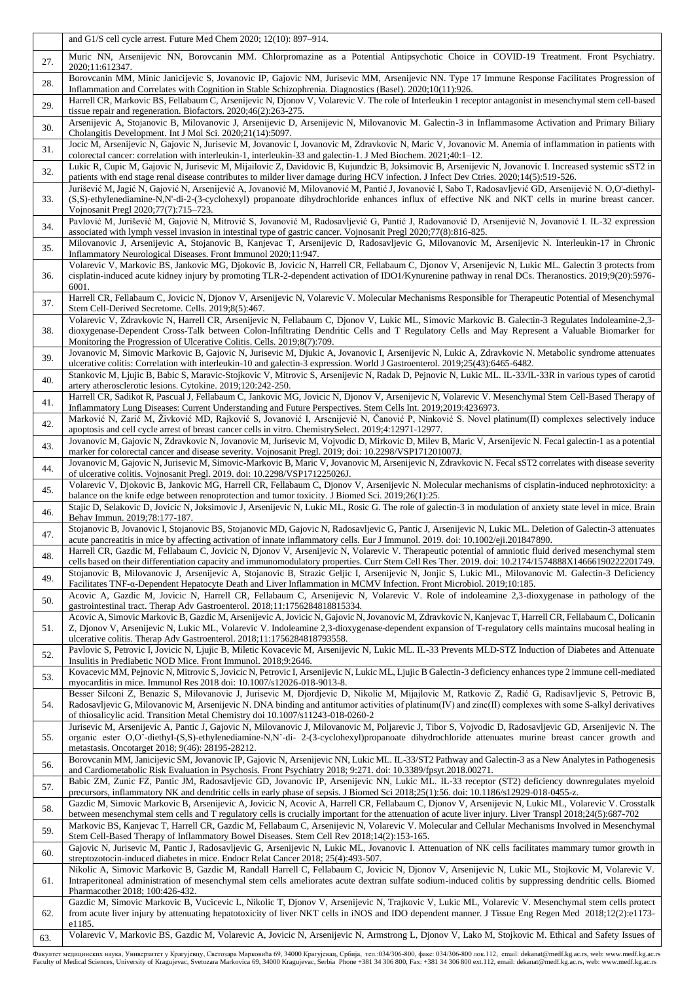|            | and G1/S cell cycle arrest. Future Med Chem 2020; 12(10): 897-914.                                                                                                                                                                                                                                                                                                                                                                                                    |
|------------|-----------------------------------------------------------------------------------------------------------------------------------------------------------------------------------------------------------------------------------------------------------------------------------------------------------------------------------------------------------------------------------------------------------------------------------------------------------------------|
| 27.        | Muric NN, Arsenijevic NN, Borovcanin MM. Chlorpromazine as a Potential Antipsychotic Choice in COVID-19 Treatment. Front Psychiatry.<br>2020;11:612347.                                                                                                                                                                                                                                                                                                               |
| 28.        | Borovcanin MM, Minic Janicijevic S, Jovanovic IP, Gajovic NM, Jurisevic MM, Arsenijevic NN. Type 17 Immune Response Facilitates Progression of<br>Inflammation and Correlates with Cognition in Stable Schizophrenia. Diagnostics (Basel). 2020;10(11):926.                                                                                                                                                                                                           |
| 29.        | Harrell CR, Markovic BS, Fellabaum C, Arsenijevic N, Djonov V, Volarevic V. The role of Interleukin 1 receptor antagonist in mesenchymal stem cell-based<br>tissue repair and regeneration. Biofactors. 2020;46(2):263-275.                                                                                                                                                                                                                                           |
| 30.        | Arsenijevic A, Stojanovic B, Milovanovic J, Arsenijevic D, Arsenijevic N, Milovanovic M. Galectin-3 in Inflammasome Activation and Primary Biliary<br>Cholangitis Development. Int J Mol Sci. 2020;21(14):5097.                                                                                                                                                                                                                                                       |
| 31.        | Jocic M, Arsenijevic N, Gajovic N, Jurisevic M, Jovanovic I, Jovanovic M, Zdravkovic N, Maric V, Jovanovic M. Anemia of inflammation in patients with<br>colorectal cancer: correlation with interleukin-1, interleukin-33 and galectin-1. J Med Biochem. 2021;40:1-12.                                                                                                                                                                                               |
| 32.        | Lukic R, Cupic M, Gajovic N, Jurisevic M, Mijailovic Z, Davidovic B, Kujundzic B, Joksimovic B, Arsenijevic N, Jovanovic I. Increased systemic sST2 in<br>patients with end stage renal disease contributes to milder liver damage during HCV infection. J Infect Dev Ctries. 2020;14(5):519-526.                                                                                                                                                                     |
| 33.        | Jurišević M, Jagić N, Gajović N, Arsenijević A, Jovanović M, Milovanović M, Pantić J, Jovanović I, Sabo T, Radosavljević GD, Arsenijević N. O,O'-diethyl-<br>(S,S)-ethylenediamine-N,N'-di-2-(3-cyclohexyl) propanoate dihydrochloride enhances influx of effective NK and NKT cells in murine breast cancer.<br>Vojnosanit Pregl 2020;77(7):715-723.                                                                                                                 |
| 34.        | Pavlović M, Jurišević M, Gajović N, Mitrović S, Jovanović M, Radosavljević G, Pantić J, Radovanović D, Arsenijević N, Jovanović I. IL-32 expression<br>associated with lymph vessel invasion in intestinal type of gastric cancer. Vojnosanit Pregl 2020;77(8):816-825.                                                                                                                                                                                               |
| 35.        | Milovanovic J, Arsenijevic A, Stojanovic B, Kanjevac T, Arsenijevic D, Radosavljevic G, Milovanovic M, Arsenijevic N. Interleukin-17 in Chronic<br>Inflammatory Neurological Diseases. Front Immunol 2020;11:947.                                                                                                                                                                                                                                                     |
| 36.        | Volarevic V, Markovic BS, Jankovic MG, Djokovic B, Jovicic N, Harrell CR, Fellabaum C, Djonov V, Arsenijevic N, Lukic ML. Galectin 3 protects from<br>cisplatin-induced acute kidney injury by promoting TLR-2-dependent activation of IDO1/Kynurenine pathway in renal DCs. Theranostics. 2019;9(20):5976-<br>6001.                                                                                                                                                  |
| 37.        | Harrell CR, Fellabaum C, Jovicic N, Djonov V, Arsenijevic N, Volarevic V. Molecular Mechanisms Responsible for Therapeutic Potential of Mesenchymal<br>Stem Cell-Derived Secretome. Cells. 2019;8(5):467.                                                                                                                                                                                                                                                             |
| 38.        | Volarevic V, Zdravkovic N, Harrell CR, Arsenijevic N, Fellabaum C, Djonov V, Lukic ML, Simovic Markovic B. Galectin-3 Regulates Indoleamine-2,3-<br>dioxygenase-Dependent Cross-Talk between Colon-Infiltrating Dendritic Cells and T Regulatory Cells and May Represent a Valuable Biomarker for<br>Monitoring the Progression of Ulcerative Colitis. Cells. 2019;8(7):709.                                                                                          |
| 39.        | Jovanovic M, Simovic Markovic B, Gajovic N, Jurisevic M, Djukic A, Jovanovic I, Arsenijevic N, Lukic A, Zdravkovic N. Metabolic syndrome attenuates<br>ulcerative colitis: Correlation with interleukin-10 and galectin-3 expression. World J Gastroenterol. 2019;25(43):6465-6482.                                                                                                                                                                                   |
| 40.        | Stankovic M, Ljujic B, Babic S, Maravic-Stojkovic V, Mitrovic S, Arsenijevic N, Radak D, Pejnovic N, Lukic ML. IL-33/IL-33R in various types of carotid<br>artery atherosclerotic lesions. Cytokine. 2019;120:242-250.                                                                                                                                                                                                                                                |
| 41.        | Harrell CR, Sadikot R, Pascual J, Fellabaum C, Jankovic MG, Jovicic N, Djonov V, Arsenijevic N, Volarevic V. Mesenchymal Stem Cell-Based Therapy of<br>Inflammatory Lung Diseases: Current Understanding and Future Perspectives. Stem Cells Int. 2019;2019:4236973.                                                                                                                                                                                                  |
| 42.        | Marković N, Zarić M, Živković MD, Rajković S, Jovanović I, Arsenijević N, Čanović P, Ninković S. Novel platinum(II) complexes selectively induce<br>apoptosis and cell cycle arrest of breast cancer cells in vitro. ChemistrySelect. 2019;4:12971-12977.                                                                                                                                                                                                             |
| 43.        | Jovanovic M, Gajovic N, Zdravkovic N, Jovanovic M, Jurisevic M, Vojvodic D, Mirkovic D, Milev B, Maric V, Arsenijevic N. Fecal galectin-1 as a potential<br>marker for colorectal cancer and disease severity. Vojnosanit Pregl. 2019; doi: 10.2298/VSP171201007J.                                                                                                                                                                                                    |
| 44.        | Jovanovic M, Gajovic N, Jurisevic M, Simovic-Markovic B, Maric V, Jovanovic M, Arsenijevic N, Zdravkovic N. Fecal sST2 correlates with disease severity<br>of ulcerative colitis. Vojnosanit Pregl. 2019. doi: 10.2298/VSP171225026J.                                                                                                                                                                                                                                 |
| 45.        | Volarevic V, Djokovic B, Jankovic MG, Harrell CR, Fellabaum C, Djonov V, Arsenijevic N. Molecular mechanisms of cisplatin-induced nephrotoxicity: a<br>balance on the knife edge between renoprotection and tumor toxicity. J Biomed Sci. 2019;26(1):25.                                                                                                                                                                                                              |
| 46.        | Stajic D, Selakovic D, Jovicic N, Joksimovic J, Arsenijevic N, Lukic ML, Rosic G. The role of galectin-3 in modulation of anxiety state level in mice. Brain<br>Behav Immun. 2019;78:177-187.<br>Stojanovic B, Jovanovic I, Stojanovic BS, Stojanovic MD, Gajovic N, Radosavljevic G, Pantic J, Arsenijevic N, Lukic ML. Deletion of Galectin-3 attenuates                                                                                                            |
| 47.        | acute pancreatitis in mice by affecting activation of innate inflammatory cells. Eur J Immunol. 2019. doi: 10.1002/eji.201847890.<br>Harrell CR, Gazdic M, Fellabaum C, Jovicic N, Djonov V, Arsenijevic N, Volarevic V. Therapeutic potential of amniotic fluid derived mesenchymal stem                                                                                                                                                                             |
| 48.<br>49. | cells based on their differentiation capacity and immunomodulatory properties. Curr Stem Cell Res Ther. 2019. doi: 10.2174/1574888X14666190222201749.<br>Stojanovic B, Milovanovic J, Arsenijevic A, Stojanovic B, Strazic Geljic I, Arsenijevic N, Jonjic S, Lukic ML, Milovanovic M. Galectin-3 Deficiency                                                                                                                                                          |
| 50.        | Facilitates TNF-a-Dependent Hepatocyte Death and Liver Inflammation in MCMV Infection. Front Microbiol. 2019;10:185.<br>Acovic A, Gazdic M, Jovicic N, Harrell CR, Fellabaum C, Arsenijevic N, Volarevic V. Role of indoleamine 2,3-dioxygenase in pathology of the                                                                                                                                                                                                   |
| 51.        | gastrointestinal tract. Therap Adv Gastroenterol. 2018;11:1756284818815334.<br>Acovic A, Simovic Markovic B, Gazdic M, Arsenijevic A, Jovicic N, Gajovic N, Jovanovic M, Zdravkovic N, Kanjevac T, Harrell CR, Fellabaum C, Dolicanin<br>Z, Djonov V, Arsenijevic N, Lukic ML, Volarevic V. Indoleamine 2,3-dioxygenase-dependent expansion of T-regulatory cells maintains mucosal healing in                                                                        |
|            | ulcerative colitis. Therap Adv Gastroenterol. 2018;11:1756284818793558.<br>Pavlovic S, Petrovic I, Jovicic N, Ljujic B, Miletic Kovacevic M, Arsenijevic N, Lukic ML. IL-33 Prevents MLD-STZ Induction of Diabetes and Attenuate                                                                                                                                                                                                                                      |
| 52.        | Insulitis in Prediabetic NOD Mice. Front Immunol. 2018;9:2646.<br>Kovacevic MM, Pejnovic N, Mitrovic S, Jovicic N, Petrovic I, Arsenijevic N, Lukic ML, Ljujic B Galectin-3 deficiency enhances type 2 immune cell-mediated                                                                                                                                                                                                                                           |
| 53.        | myocarditis in mice. Immunol Res 2018 doi: 10.1007/s12026-018-9013-8.<br>Besser Silconi Z, Benazic S, Milovanovic J, Jurisevic M, Djordjevic D, Nikolic M, Mijajlovic M, Ratkovic Z, Radić G, Radisavljevic S, Petrovic B,                                                                                                                                                                                                                                            |
| 54.        | Radosavljevic G, Milovanovic M, Arsenijevic N. DNA binding and antitumor activities of platinum(IV) and zinc(II) complexes with some S-alkyl derivatives<br>of thiosalicylic acid. Transition Metal Chemistry doi 10.1007/s11243-018-0260-2                                                                                                                                                                                                                           |
| 55.        | Jurisevic M, Arsenijevic A, Pantic J, Gajovic N, Milovanovic J, Milovanovic M, Poljarevic J, Tibor S, Vojvodic D, Radosavljevic GD, Arsenijevic N. The<br>organic ester O,O'-diethyl-(S,S)-ethylenediamine-N,N'-di- 2-(3-cyclohexyl)propanoate dihydrochloride attenuates murine breast cancer growth and<br>metastasis. Oncotarget 2018; 9(46): 28195-28212.                                                                                                         |
| 56.        | Borovcanin MM, Janicijevic SM, Jovanovic IP, Gajovic N, Arsenijevic NN, Lukic ML. IL-33/ST2 Pathway and Galectin-3 as a New Analytes in Pathogenesis<br>and Cardiometabolic Risk Evaluation in Psychosis. Front Psychiatry 2018; 9:271. doi: 10.3389/fpsyt.2018.00271.                                                                                                                                                                                                |
| 57.        | Babic ZM, Zunic FZ, Pantic JM, Radosavljevic GD, Jovanovic IP, Arsenijevic NN, Lukic ML. IL-33 receptor (ST2) deficiency downregulates myeloid<br>precursors, inflammatory NK and dendritic cells in early phase of sepsis. J Biomed Sci 2018;25(1):56. doi: 10.1186/s12929-018-0455-z.                                                                                                                                                                               |
| 58.        | Gazdic M, Simovic Markovic B, Arsenijevic A, Jovicic N, Acovic A, Harrell CR, Fellabaum C, Djonov V, Arsenijevic N, Lukic ML, Volarevic V. Crosstalk<br>between mesenchymal stem cells and T regulatory cells is crucially important for the attenuation of acute liver injury. Liver Transpl 2018;24(5):687-702<br>Markovic BS, Kanjevac T, Harrell CR, Gazdic M, Fellabaum C, Arsenijevic N, Volarevic V. Molecular and Cellular Mechanisms Involved in Mesenchymal |
| 59.        | Stem Cell-Based Therapy of Inflammatory Bowel Diseases. Stem Cell Rev 2018;14(2):153-165.<br>Gajovic N, Jurisevic M, Pantic J, Radosavljevic G, Arsenijevic N, Lukic ML, Jovanovic I. Attenuation of NK cells facilitates mammary tumor growth in                                                                                                                                                                                                                     |
| 60.        | streptozotocin-induced diabetes in mice. Endocr Relat Cancer 2018; 25(4):493-507.<br>Nikolic A, Simovic Markovic B, Gazdic M, Randall Harrell C, Fellabaum C, Jovicic N, Djonov V, Arsenijevic N, Lukic ML, Stojkovic M, Volarevic V.                                                                                                                                                                                                                                 |
| 61.        | Intraperitoneal administration of mesenchymal stem cells ameliorates acute dextran sulfate sodium-induced colitis by suppressing dendritic cells. Biomed<br>Pharmacother 2018; 100:426-432.                                                                                                                                                                                                                                                                           |
| 62.        | Gazdic M, Simovic Markovic B, Vucicevic L, Nikolic T, Djonov V, Arsenijevic N, Trajkovic V, Lukic ML, Volarevic V. Mesenchymal stem cells protect<br>from acute liver injury by attenuating hepatotoxicity of liver NKT cells in iNOS and IDO dependent manner. J Tissue Eng Regen Med 2018;12(2):e1173-<br>e1185.                                                                                                                                                    |
| 63.        | Volarevic V, Markovic BS, Gazdic M, Volarevic A, Jovicic N, Arsenijevic N, Armstrong L, Djonov V, Lako M, Stojkovic M. Ethical and Safety Issues of                                                                                                                                                                                                                                                                                                                   |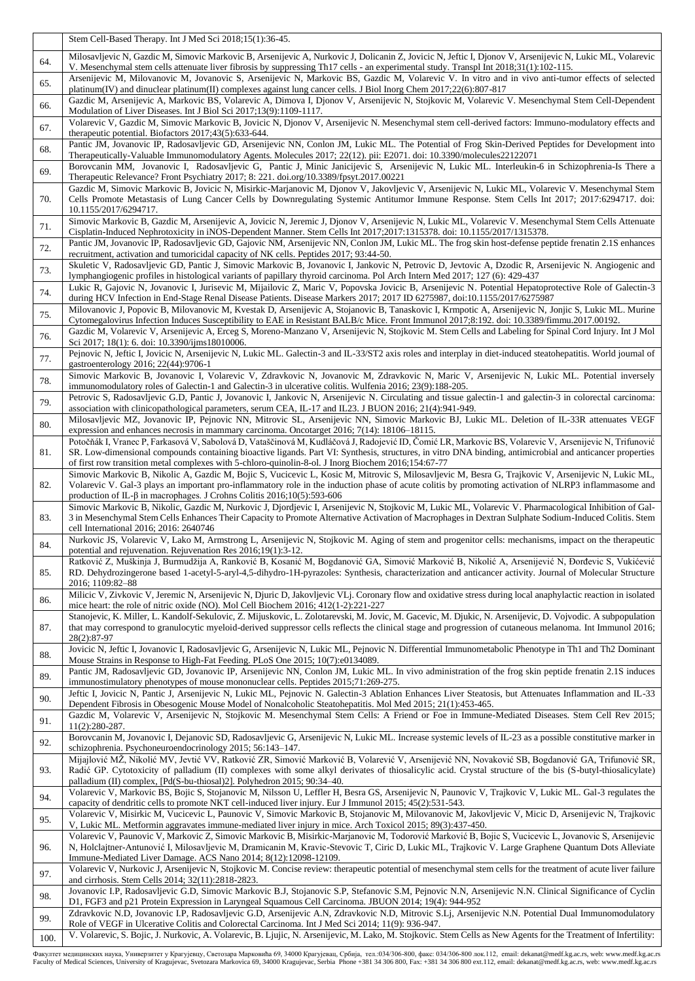|      | Stem Cell-Based Therapy. Int J Med Sci 2018;15(1):36-45.                                                                                                                                                                                                                                                                                                                                                                                                     |
|------|--------------------------------------------------------------------------------------------------------------------------------------------------------------------------------------------------------------------------------------------------------------------------------------------------------------------------------------------------------------------------------------------------------------------------------------------------------------|
| 64.  | Milosavljevic N, Gazdic M, Simovic Markovic B, Arsenijevic A, Nurkovic J, Dolicanin Z, Jovicic N, Jeftic I, Djonov V, Arsenijevic N, Lukic ML, Volarevic<br>V. Mesenchymal stem cells attenuate liver fibrosis by suppressing Th17 cells - an experimental study. Transpl Int 2018;31(1):102-115.<br>Arsenijevic M, Milovanovic M, Jovanovic S, Arsenijevic N, Markovic BS, Gazdic M, Volarevic V. In vitro and in vivo anti-tumor effects of selected       |
| 65.  | platinum(IV) and dinuclear platinum(II) complexes against lung cancer cells. J Biol Inorg Chem 2017;22(6):807-817<br>Gazdic M, Arsenijevic A, Markovic BS, Volarevic A, Dimova I, Djonov V, Arsenijevic N, Stojkovic M, Volarevic V. Mesenchymal Stem Cell-Dependent                                                                                                                                                                                         |
| 66.  | Modulation of Liver Diseases. Int J Biol Sci 2017;13(9):1109-1117.<br>Volarevic V, Gazdic M, Simovic Markovic B, Jovicic N, Djonov V, Arsenijevic N. Mesenchymal stem cell-derived factors: Immuno-modulatory effects and                                                                                                                                                                                                                                    |
| 67.  | therapeutic potential. Biofactors $2017;43(5):633-644$ .<br>Pantic JM, Jovanovic IP, Radosavljevic GD, Arsenijevic NN, Conlon JM, Lukic ML. The Potential of Frog Skin-Derived Peptides for Development into                                                                                                                                                                                                                                                 |
| 68.  | Therapeutically-Valuable Immunomodulatory Agents. Molecules 2017; 22(12). pii: E2071. doi: 10.3390/molecules22122071<br>Borovcanin MM, Jovanovic I, Radosavljevic G, Pantic J, Minic Janicijevic S, Arsenijevic N, Lukic ML. Interleukin-6 in Schizophrenia-Is There a                                                                                                                                                                                       |
| 69.  | Therapeutic Relevance? Front Psychiatry 2017; 8: 221. doi.org/10.3389/fpsyt.2017.00221<br>Gazdic M, Simovic Markovic B, Jovicic N, Misirkic-Marjanovic M, Djonov V, Jakovljevic V, Arsenijevic N, Lukic ML, Volarevic V. Mesenchymal Stem                                                                                                                                                                                                                    |
| 70.  | Cells Promote Metastasis of Lung Cancer Cells by Downregulating Systemic Antitumor Immune Response. Stem Cells Int 2017; 2017:6294717. doi:<br>10.1155/2017/6294717.                                                                                                                                                                                                                                                                                         |
| 71.  | Simovic Markovic B, Gazdic M, Arsenijevic A, Jovicic N, Jeremic J, Djonov V, Arsenijevic N, Lukic ML, Volarevic V. Mesenchymal Stem Cells Attenuate<br>Cisplatin-Induced Nephrotoxicity in iNOS-Dependent Manner. Stem Cells Int 2017;2017:1315378. doi: 10.1155/2017/1315378.                                                                                                                                                                               |
| 72.  | Pantic JM, Jovanovic IP, Radosavljevic GD, Gajovic NM, Arsenijevic NN, Conlon JM, Lukic ML. The frog skin host-defense peptide frenatin 2.1S enhances<br>recruitment, activation and tumoricidal capacity of NK cells. Peptides 2017; 93:44-50.                                                                                                                                                                                                              |
| 73.  | Skuletic V, Radosavljevic GD, Pantic J, Simovic Markovic B, Jovanovic I, Jankovic N, Petrovic D, Jevtovic A, Dzodic R, Arsenijevic N. Angiogenic and<br>lymphangiogenic profiles in histological variants of papillary thyroid carcinoma. Pol Arch Intern Med 2017; 127 (6): 429-437                                                                                                                                                                         |
| 74.  | Lukic R, Gajovic N, Jovanovic I, Jurisevic M, Mijailovic Z, Maric V, Popovska Jovicic B, Arsenijevic N. Potential Hepatoprotective Role of Galectin-3<br>during HCV Infection in End-Stage Renal Disease Patients. Disease Markers 2017; 2017 ID 6275987, doi:10.1155/2017/6275987                                                                                                                                                                           |
| 75.  | Milovanovic J, Popovic B, Milovanovic M, Kvestak D, Arsenijevic A, Stojanovic B, Tanaskovic I, Krmpotic A, Arsenijevic N, Jonjic S, Lukic ML. Murine<br>Cytomegalovirus Infection Induces Susceptibility to EAE in Resistant BALB/c Mice. Front Immunol 2017;8:192. doi: 10.3389/fimmu.2017.00192.<br>Gazdic M, Volarevic V, Arsenijevic A, Erceg S, Moreno-Manzano V, Arsenijevic N, Stojkovic M. Stem Cells and Labeling for Spinal Cord Injury. Int J Mol |
| 76.  | Sci 2017; 18(1): 6. doi: 10.3390/ijms18010006.<br>Pejnovic N, Jeftic I, Jovicic N, Arsenijevic N, Lukic ML. Galectin-3 and IL-33/ST2 axis roles and interplay in diet-induced steatohepatitis. World journal of                                                                                                                                                                                                                                              |
| 77.  | gastroenterology 2016; 22(44):9706-1<br>Simovic Markovic B, Jovanovic I, Volarevic V, Zdravkovic N, Jovanovic M, Zdravkovic N, Maric V, Arsenijevic N, Lukic ML. Potential inversely                                                                                                                                                                                                                                                                         |
| 78.  | immunomodulatory roles of Galectin-1 and Galectin-3 in ulcerative colitis. Wulfenia 2016; 23(9):188-205.<br>Petrovic S, Radosavljevic G.D, Pantic J, Jovanovic I, Jankovic N, Arsenijevic N. Circulating and tissue galectin-1 and galectin-3 in colorectal carcinoma:                                                                                                                                                                                       |
| 79.  | association with clinicopathological parameters, serum CEA, IL-17 and IL23. J BUON 2016; 21(4):941-949.                                                                                                                                                                                                                                                                                                                                                      |
| 80.  | Milosavljevic MZ, Jovanovic IP, Pejnovic NN, Mitrovic SL, Arsenijevic NN, Simovic Markovic BJ, Lukic ML. Deletion of IL-33R attenuates VEGF<br>expression and enhances necrosis in mammary carcinoma. Oncotarget 2016; 7(14): 18106–18115.                                                                                                                                                                                                                   |
| 81.  | Potočňák I, Vranec P, Farkasová V, Sabolová D, Vataščinová M, Kudláčová J, Radojević ID, Čomić LR, Markovic BS, Volarevic V, Arsenijevic N, Trifunović<br>SR. Low-dimensional compounds containing bioactive ligands. Part VI: Synthesis, structures, in vitro DNA binding, antimicrobial and anticancer properties<br>of first row transition metal complexes with 5-chloro-quinolin-8-ol. J Inorg Biochem 2016;154:67-77                                   |
| 82.  | Simovic Markovic B, Nikolic A, Gazdic M, Bojic S, Vucicevic L, Kosic M, Mitrovic S, Milosavljevic M, Besra G, Trajkovic V, Arsenijevic N, Lukic ML,<br>Volarevic V. Gal-3 plays an important pro-inflammatory role in the induction phase of acute colitis by promoting activation of NLRP3 inflammasome and<br>production of IL- $\beta$ in macrophages. J Crohns Colitis 2016;10(5):593-606                                                                |
| 83.  | Simovic Markovic B, Nikolic, Gazdic M, Nurkovic J, Djordjevic I, Arsenijevic N, Stojkovic M, Lukic ML, Volarevic V. Pharmacological Inhibition of Gal-<br>3 in Mesenchymal Stem Cells Enhances Their Capacity to Promote Alternative Activation of Macrophages in Dextran Sulphate Sodium-Induced Colitis. Stem<br>cell International 2016; 2016: 2640746                                                                                                    |
| 84.  | Nurkovic JS, Volarevic V, Lako M, Armstrong L, Arsenijevic N, Stojkovic M. Aging of stem and progenitor cells: mechanisms, impact on the therapeutic<br>potential and rejuvenation. Rejuvenation Res 2016;19(1):3-12.                                                                                                                                                                                                                                        |
| 85.  | Ratković Z, Muškinja J, Burmudžija A, Ranković B, Kosanić M, Bogdanović GA, Simović Marković B, Nikolić A, Arsenijević N, Đorđevic S, Vukićević<br>RD. Dehydrozingerone based 1-acetyl-5-aryl-4,5-dihydro-1H-pyrazoles: Synthesis, characterization and anticancer activity. Journal of Molecular Structure<br>2016; 1109:82-88                                                                                                                              |
| 86.  | Milicic V, Zivkovic V, Jeremic N, Arsenijevic N, Djuric D, Jakovljevic VLj. Coronary flow and oxidative stress during local anaphylactic reaction in isolated<br>mice heart: the role of nitric oxide (NO). Mol Cell Biochem 2016; $412(1-2)$ :221-227                                                                                                                                                                                                       |
| 87.  | Stanojevic, K. Miller, L. Kandolf-Sekulovic, Z. Mijuskovic, L. Zolotarevski, M. Jovic, M. Gacevic, M. Djukic, N. Arsenijevic, D. Vojvodic. A subpopulation<br>that may correspond to granulocytic myeloid-derived suppressor cells reflects the clinical stage and progression of cutaneous melanoma. Int Immunol 2016;<br>28(2):87-97                                                                                                                       |
| 88.  | Jovicic N, Jeftic I, Jovanovic I, Radosavljevic G, Arsenijevic N, Lukic ML, Pejnovic N. Differential Immunometabolic Phenotype in Th1 and Th2 Dominant<br>Mouse Strains in Response to High-Fat Feeding. PLoS One 2015; 10(7):e0134089.                                                                                                                                                                                                                      |
| 89.  | Pantic JM, Radosavljevic GD, Jovanovic IP, Arsenijevic NN, Conlon JM, Lukic ML. In vivo administration of the frog skin peptide frenatin 2.1S induces<br>immunostimulatory phenotypes of mouse mononuclear cells. Peptides 2015;71:269-275.                                                                                                                                                                                                                  |
| 90.  | Jeftic I, Jovicic N, Pantic J, Arsenijevic N, Lukic ML, Pejnovic N. Galectin-3 Ablation Enhances Liver Steatosis, but Attenuates Inflammation and IL-33<br>Dependent Fibrosis in Obesogenic Mouse Model of Nonalcoholic Steatohepatitis. Mol Med 2015; 21(1):453-465.                                                                                                                                                                                        |
| 91.  | Gazdic M, Volarevic V, Arsenijevic N, Stojkovic M. Mesenchymal Stem Cells: A Friend or Foe in Immune-Mediated Diseases. Stem Cell Rev 2015;<br>$11(2):280-287.$                                                                                                                                                                                                                                                                                              |
| 92.  | Borovcanin M, Jovanovic I, Dejanovic SD, Radosavljevic G, Arsenijevic N, Lukic ML. Increase systemic levels of IL-23 as a possible constitutive marker in<br>schizophrenia. Psychoneuroendocrinology 2015; 56:143-147.                                                                                                                                                                                                                                       |
| 93.  | Mijajlović MŽ, Nikolić MV, Jevtić VV, Ratković ZR, Simović Marković B, Volarević V, Arsenijević NN, Novaković SB, Bogdanović GA, Trifunović SR,<br>Radić GP. Cytotoxicity of palladium (II) complexes with some alkyl derivates of thiosalicylic acid. Crystal structure of the bis (S-butyl-thiosalicylate)<br>palladium (II) complex, [Pd(S-bu-thiosal)2]. Polyhedron 2015; 90:34-40.                                                                      |
| 94.  | Volarevic V, Markovic BS, Bojic S, Stojanovic M, Nilsson U, Leffler H, Besra GS, Arsenijevic N, Paunovic V, Trajkovic V, Lukic ML. Gal-3 regulates the<br>capacity of dendritic cells to promote NKT cell-induced liver injury. Eur J Immunol 2015; 45(2):531-543.                                                                                                                                                                                           |
| 95.  | Volarevic V, Misirkic M, Vucicevic L, Paunovic V, Simovic Markovic B, Stojanovic M, Milovanovic M, Jakovljevic V, Micic D, Arsenijevic N, Trajkovic<br>V, Lukic ML. Metformin aggravates immune-mediated liver injury in mice. Arch Toxicol 2015; 89(3):437-450.                                                                                                                                                                                             |
| 96.  | Volarevic V, Paunovic V, Markovic Z, Simovic Markovic B, Misirkic-Marjanovic M, Todorović Marković B, Bojic S, Vucicevic L, Jovanovic S, Arsenijevic<br>N, Holclajtner-Antunović I, Milosavljevic M, Dramicanin M, Kravic-Stevovic T, Ciric D, Lukic ML, Trajkovic V. Large Graphene Quantum Dots Alleviate                                                                                                                                                  |
| 97.  | Immune-Mediated Liver Damage. ACS Nano 2014; 8(12):12098-12109.<br>Volarevic V, Nurkovic J, Arsenijevic N, Stojkovic M. Concise review: therapeutic potential of mesenchymal stem cells for the treatment of acute liver failure                                                                                                                                                                                                                             |
| 98.  | and cirrhosis. Stem Cells 2014; 32(11):2818-2823.<br>Jovanovic I.P, Radosavljevic G.D, Simovic Markovic B.J, Stojanovic S.P, Stefanovic S.M, Pejnovic N.N, Arsenijevic N.N. Clinical Significance of Cyclin                                                                                                                                                                                                                                                  |
| 99.  | D1, FGF3 and p21 Protein Expression in Laryngeal Squamous Cell Carcinoma. JBUON 2014; 19(4): 944-952<br>Zdravkovic N.D, Jovanovic I.P, Radosavljevic G.D, Arsenijevic A.N, Zdravkovic N.D, Mitrovic S.Lj, Arsenijevic N.N. Potential Dual Immunomodulatory<br>Role of VEGF in Ulcerative Colitis and Colorectal Carcinoma. Int J Med Sci 2014; 11(9): 936-947.                                                                                               |
| 100. | V. Volarevic, S. Bojic, J. Nurkovic, A. Volarevic, B. Ljujic, N. Arsenijevic, M. Lako, M. Stojkovic. Stem Cells as New Agents for the Treatment of Infertility:                                                                                                                                                                                                                                                                                              |

Факултет медицинских наука, Универзитет у Крагујевцу, Светозара Марковића б9, 34000 Крагујевац, Србија, тел:034/306-800, факс: 034/306-800 лок.112, email: dekanat@medf.kg.ac.rs, web: www.medf.kg.ac.rs<br>Faculty of Medical S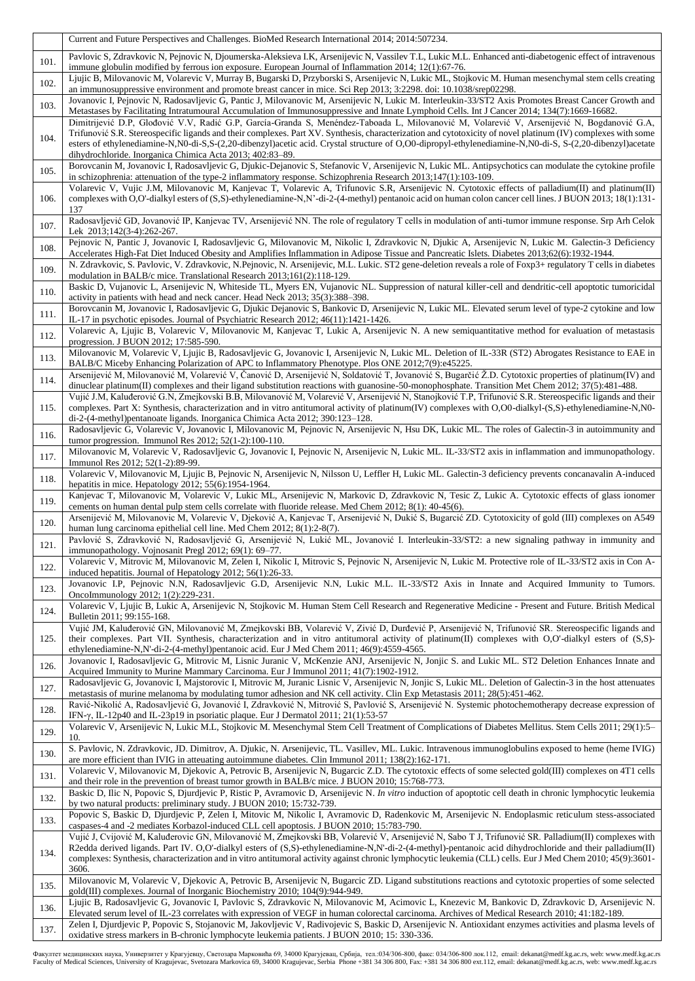|      | Current and Future Perspectives and Challenges. BioMed Research International 2014; 2014:507234.                                                                                                                                                                                                                                                                                                                                                                                                                                    |
|------|-------------------------------------------------------------------------------------------------------------------------------------------------------------------------------------------------------------------------------------------------------------------------------------------------------------------------------------------------------------------------------------------------------------------------------------------------------------------------------------------------------------------------------------|
| 101. | Pavlovic S, Zdravkovic N, Pejnovic N, Djoumerska-Aleksieva I.K, Arsenijevic N, Vassilev T.L, Lukic M.L. Enhanced anti-diabetogenic effect of intravenous<br>immune globulin modified by ferrous ion exposure. European Journal of Inflammation 2014; 12(1):67-76.                                                                                                                                                                                                                                                                   |
| 102. | Ljujic B, Milovanovic M, Volarevic V, Murray B, Bugarski D, Przyborski S, Arsenijevic N, Lukic ML, Stojkovic M. Human mesenchymal stem cells creating<br>an immunosuppressive environment and promote breast cancer in mice. Sci Rep 2013; 3:2298. doi: 10.1038/srep02298.                                                                                                                                                                                                                                                          |
| 103. | Jovanovic I, Pejnovic N, Radosavljevic G, Pantic J, Milovanovic M, Arsenijevic N, Lukic M. Interleukin-33/ST2 Axis Promotes Breast Cancer Growth and<br>Metastases by Facilitating Intratumoural Accumulation of Immunosuppressive and Innate Lymphoid Cells. Int J Cancer 2014; 134(7):1669-16682.                                                                                                                                                                                                                                 |
| 104. | Dimitrijević D.P, Glođović V.V, Radić G.P, García-Granda S, Menéndez-Taboada L, Milovanović M, Volarević V, Arsenijević N, Bogdanović G.A,<br>Trifunović S.R. Stereospecific ligands and their complexes. Part XV. Synthesis, characterization and cytotoxicity of novel platinum (IV) complexes with some<br>esters of ethylenediamine-N,N0-di-S,S-(2,20-dibenzyl)acetic acid. Crystal structure of O,O0-dipropyl-ethylenediamine-N,N0-di-S, S-(2,20-dibenzyl)acetate<br>dihydrochloride. Inorganica Chimica Acta 2013; 402:83-89. |
| 105. | Borovcanin M, Jovanovic I, Radosavljevic G, Djukic-Dejanovic S, Stefanovic V, Arsenijevic N, Lukic ML. Antipsychotics can modulate the cytokine profile<br>in schizophrenia: attenuation of the type-2 inflammatory response. Schizophrenia Research 2013;147(1):103-109.                                                                                                                                                                                                                                                           |
| 106. | Volarevic V, Vujic J.M, Milovanovic M, Kanjevac T, Volarevic A, Trifunovic S.R, Arsenijevic N. Cytotoxic effects of palladium(II) and platinum(II)<br>complexes with O,O'-dialkyl esters of (S,S)-ethylenediamine-N,N'-di-2-(4-methyl) pentanoic acid on human colon cancer cell lines. J BUON 2013; 18(1):131-<br>137                                                                                                                                                                                                              |
| 107. | Radosavljević GD, Jovanović IP, Kanjevac TV, Arsenijević NN. The role of regulatory T cells in modulation of anti-tumor immune response. Srp Arh Celok<br>Lek 2013;142(3-4):262-267.                                                                                                                                                                                                                                                                                                                                                |
| 108. | Pejnovic N, Pantic J, Jovanovic I, Radosavljevic G, Milovanovic M, Nikolic I, Zdravkovic N, Djukic A, Arsenijevic N, Lukic M. Galectin-3 Deficiency<br>Accelerates High-Fat Diet Induced Obesity and Amplifies Inflammation in Adipose Tissue and Pancreatic Islets. Diabetes 2013;62(6):1932-1944.                                                                                                                                                                                                                                 |
| 109. | N. Zdravkovic, S. Pavlovic, V. Zdravkovic, N. Pejnovic, N. Arsenijevic, M.L. Lukic. ST2 gene-deletion reveals a role of Foxp3+ regulatory T cells in diabetes<br>modulation in BALB/c mice. Translational Research 2013;161(2):118-129.                                                                                                                                                                                                                                                                                             |
| 110. | Baskic D, Vujanovic L, Arsenijevic N, Whiteside TL, Myers EN, Vujanovic NL. Suppression of natural killer-cell and dendritic-cell apoptotic tumoricidal<br>activity in patients with head and neck cancer. Head Neck 2013; 35(3):388-398.                                                                                                                                                                                                                                                                                           |
| 111. | Borovcanin M, Jovanovic I, Radosavljevic G, Djukic Dejanovic S, Bankovic D, Arsenijevic N, Lukic ML. Elevated serum level of type-2 cytokine and low<br>IL-17 in psychotic episodes. Journal of Psychiatric Research 2012; 46(11):1421-1426.                                                                                                                                                                                                                                                                                        |
| 112. | Volarevic A, Ljujic B, Volarevic V, Milovanovic M, Kanjevac T, Lukic A, Arsenijevic N. A new semiquantitative method for evaluation of metastasis<br>progression. J BUON 2012; 17:585-590.                                                                                                                                                                                                                                                                                                                                          |
| 113. | Milovanovic M, Volarevic V, Ljujic B, Radosavljevic G, Jovanovic I, Arsenijevic N, Lukic ML. Deletion of IL-33R (ST2) Abrogates Resistance to EAE in<br>BALB/C Miceby Enhancing Polarization of APC to Inflammatory Phenotype. Plos ONE 2012;7(9):e45225.                                                                                                                                                                                                                                                                           |
| 114. | Arsenijević M, Milovanović M, Volarević V, Čanović D, Arsenijević N, Soldatović T, Jovanović S, Bugarčić Ž.D. Cytotoxic properties of platinum(IV) and<br>dinuclear platinum(II) complexes and their ligand substitution reactions with guanosine-50-monophosphate. Transition Met Chem 2012; $37(5)$ :481-488.                                                                                                                                                                                                                     |
| 115. | Vujić J.M, Kaluđerović G.N, Zmejkovski B.B, Milovanović M, Volarević V, Arsenijević N, Stanojković T.P, Trifunović S.R. Stereospecific ligands and their<br>complexes. Part X: Synthesis, characterization and in vitro antitumoral activity of platinum(IV) complexes with O,O0-dialkyl-(S,S)-ethylenediamine-N,N0-<br>di-2-(4-methyl)pentanoate ligands. Inorganica Chimica Acta 2012; 390:123-128.                                                                                                                               |
| 116. | Radosavljevic G, Volarevic V, Jovanovic I, Milovanovic M, Pejnovic N, Arsenijevic N, Hsu DK, Lukic ML. The roles of Galectin-3 in autoimmunity and<br>tumor progression. Immunol Res $2012$ ; $52(1-2)$ :100-110.                                                                                                                                                                                                                                                                                                                   |
| 117. | Milovanovic M, Volarevic V, Radosavljevic G, Jovanovic I, Pejnovic N, Arsenijevic N, Lukic ML. IL-33/ST2 axis in inflammation and immunopathology.<br>Immunol Res 2012; 52(1-2):89-99.                                                                                                                                                                                                                                                                                                                                              |
| 118. | Volarevic V, Milovanovic M, Ljujic B, Pejnovic N, Arsenijevic N, Nilsson U, Leffler H, Lukic ML. Galectin-3 deficiency prevents concanavalin A-induced<br>hepatitis in mice. Hepatology 2012; 55(6):1954-1964.                                                                                                                                                                                                                                                                                                                      |
| 119. | Kanjevac T, Milovanovic M, Volarevic V, Lukic ML, Arsenijevic N, Markovic D, Zdravkovic N, Tesic Z, Lukic A. Cytotoxic effects of glass ionomer<br>cements on human dental pulp stem cells correlate with fluoride release. Med Chem 2012; 8(1): 40-45(6).                                                                                                                                                                                                                                                                          |
| 120. | Arsenijević M, Milovanovic M, Volarevic V, Djeković A, Kanjevac T, Arsenijević N, Dukić S, Bugarcić ZD. Cytotoxicity of gold (III) complexes on A549<br>human lung carcinoma epithelial cell line. Med Chem 2012; 8(1):2-8(7).                                                                                                                                                                                                                                                                                                      |
| 121. | Pavlović S, Zdravković N, Radosavljević G, Arsenijević N, Lukić ML, Jovanović I. Interleukin-33/ST2: a new signaling pathway in immunity and<br>immunopathology. Vojnosanit Pregl 2012; 69(1): 69–77.                                                                                                                                                                                                                                                                                                                               |
| 122. | Volarevic V, Mitrovic M, Milovanovic M, Zelen I, Nikolic I, Mitrovic S, Pejnovic N, Arsenijevic N, Lukic M. Protective role of IL-33/ST2 axis in Con A-<br>induced hepatitis. Journal of Hepatology 2012; 56(1):26-33.                                                                                                                                                                                                                                                                                                              |
| 123. | Jovanovic I.P, Pejnovic N.N, Radosavljevic G.D, Arsenijevic N.N, Lukic M.L. IL-33/ST2 Axis in Innate and Acquired Immunity to Tumors.<br>OncoImmunology 2012; 1(2):229-231.                                                                                                                                                                                                                                                                                                                                                         |
| 124. | Volarevic V, Ljujic B, Lukic A, Arsenijevic N, Stojkovic M. Human Stem Cell Research and Regenerative Medicine - Present and Future. British Medical<br>Bulletin 2011; 99:155-168.                                                                                                                                                                                                                                                                                                                                                  |
| 125. | Vujić JM, Kaluđerović GN, Milovanović M, Zmejkovski BB, Volarević V, Zivić D, Durđević P, Arsenijević N, Trifunović SR. Stereospecific ligands and<br>their complexes. Part VII. Synthesis, characterization and in vitro antitumoral activity of platinum(II) complexes with O,O'-dialkyl esters of (S,S)-<br>ethylenediamine-N,N'-di-2-(4-methyl)pentanoic acid. Eur J Med Chem 2011; 46(9):4559-4565.                                                                                                                            |
| 126. | Jovanovic I, Radosavljevic G, Mitrovic M, Lisnic Juranic V, McKenzie ANJ, Arsenijevic N, Jonjic S. and Lukic ML. ST2 Deletion Enhances Innate and<br>Acquired Immunity to Murine Mammary Carcinoma. Eur J Immunol 2011; 41(7):1902-1912.                                                                                                                                                                                                                                                                                            |
| 127. | Radosavljevic G, Jovanovic I, Majstorovic I, Mitrovic M, Juranic Lisnic V, Arsenijevic N, Jonjic S, Lukic ML. Deletion of Galectin-3 in the host attenuates<br>metastasis of murine melanoma by modulating tumor adhesion and NK cell activity. Clin Exp Metastasis 2011; 28(5):451-462.                                                                                                                                                                                                                                            |
| 128. | Ravić-Nikolić A, Radosavljević G, Jovanović I, Zdravković N, Mitrović S, Pavlović S, Arsenijević N. Systemic photochemotherapy decrease expression of<br>IFN- $\gamma$ , IL-12p40 and IL-23p19 in psoriatic plaque. Eur J Dermatol 2011; 21(1):53-57                                                                                                                                                                                                                                                                                |
| 129. | Volarevic V, Arsenijevic N, Lukic M.L, Stojkovic M. Mesenchymal Stem Cell Treatment of Complications of Diabetes Mellitus. Stem Cells 2011; 29(1):5-<br>10.                                                                                                                                                                                                                                                                                                                                                                         |
| 130. | S. Pavlovic, N. Zdravkovic, JD. Dimitrov, A. Djukic, N. Arsenijevic, TL. Vasillev, ML. Lukic. Intravenous immunoglobulins exposed to heme (heme IVIG)<br>are more efficient than IVIG in attenating autoimmune diabetes. Clin Immunol 2011; 138(2):162-171.                                                                                                                                                                                                                                                                         |
| 131. | Volarevic V, Milovanovic M, Djekovic A, Petrovic B, Arsenijevic N, Bugarcic Z.D. The cytotoxic effects of some selected gold(III) complexes on 4T1 cells<br>and their role in the prevention of breast tumor growth in BALB/c mice. J BUON 2010; 15:768-773.                                                                                                                                                                                                                                                                        |
| 132. | Baskic D, Ilic N, Popovic S, Djurdjevic P, Ristic P, Avramovic D, Arsenijevic N. In vitro induction of apoptotic cell death in chronic lymphocytic leukemia<br>by two natural products: preliminary study. J BUON 2010; 15:732-739.                                                                                                                                                                                                                                                                                                 |
| 133. | Popovic S, Baskic D, Djurdjevic P, Zelen I, Mitovic M, Nikolic I, Avramovic D, Radenkovic M, Arsenijevic N. Endoplasmic reticulum stess-associated<br>caspases-4 and -2 mediates Korbazol-induced CLL cell apoptosis. J BUON 2010; 15:783-790.                                                                                                                                                                                                                                                                                      |
| 134. | Vujić J, Cvijović M, Kaluđerovic GN, Milovanović M, Zmejkovski BB, Volarević V, Arsenijević N, Sabo T J, Trifunović SR. Palladium(II) complexes with<br>R2edda derived ligands. Part IV. O,O'-dialkyl esters of (S,S)-ethylenediamine-N,N'-di-2-(4-methyl)-pentanoic acid dihydrochloride and their palladium(II)<br>complexes: Synthesis, characterization and in vitro antitumoral activity against chronic lymphocytic leukemia (CLL) cells. Eur J Med Chem 2010; 45(9):3601-<br>3606.                                           |
| 135. | Milovanovic M, Volarevic V, Djekovic A, Petrovic B, Arsenijevic N, Bugarcic ZD. Ligand substitutions reactions and cytotoxic properties of some selected<br>gold(III) complexes. Journal of Inorganic Biochemistry 2010; 104(9):944-949.                                                                                                                                                                                                                                                                                            |
| 136. | Ljujic B, Radosavljevic G, Jovanovic I, Pavlovic S, Zdravkovic N, Milovanovic M, Acimovic L, Knezevic M, Bankovic D, Zdravkovic D, Arsenijevic N.<br>Elevated serum level of IL-23 correlates with expression of VEGF in human colorectal carcinoma. Archives of Medical Research 2010; 41:182-189.                                                                                                                                                                                                                                 |
| 137. | Zelen I, Djurdjevic P, Popovic S, Stojanovic M, Jakovljevic V, Radivojevic S, Baskic D, Arsenijevic N. Antioxidant enzymes activities and plasma levels of<br>oxidative stress markers in B-chronic lymphocyte leukemia patients. J BUON 2010; 15: 330-336.                                                                                                                                                                                                                                                                         |